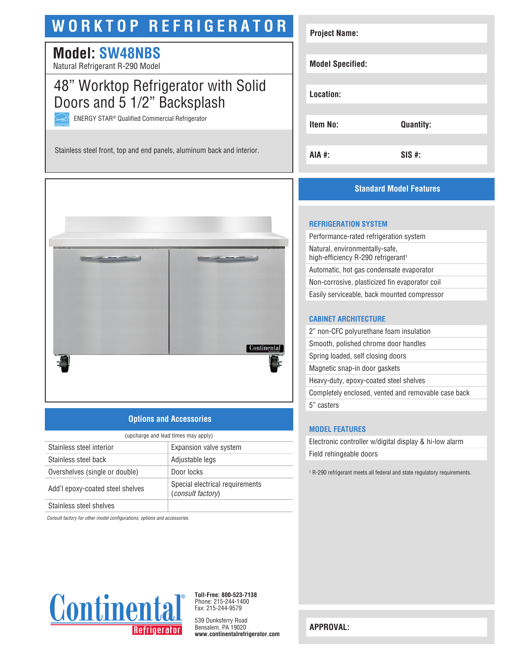# **WORKTOP REFRIGERATOR**

# **Model: SW48NBS**

Natural Refrigerant R-290 Model

# 48" Worktop Refrigerator with Solid Doors and 5 1/2" Backsplash

ENERGY STAR® Qualified Commercial Refrigerator

Stainless steel front, top and end panels, aluminum back and interior.



### **Options and Accessories**

| (upcharge and lead times may apply)           |                                                             |  |
|-----------------------------------------------|-------------------------------------------------------------|--|
| Stainless steel interior                      | Expansion valve system                                      |  |
| Stainless steel back                          | Adjustable legs                                             |  |
| Overshelves (single or double)                | Door locks                                                  |  |
| Add'l epoxy-coated steel shelves              | Special electrical requirements<br><i>(consult factory)</i> |  |
| Other thanks are as a family of the following |                                                             |  |

Stainless steel shelves

*Consult factory for other model configurations, options and accessories.*



**Toll-Free: 800-523-7138** Phone: 215-244-1400 Fax: 215-244-9579

539 Dunksferry Road Bensalem, PA 19020 **www.continentalrefrigerator.com** 

| <b>Project Name:</b>    |                  |
|-------------------------|------------------|
| <b>Model Specified:</b> |                  |
| Location:               |                  |
| Item No:                | <b>Quantity:</b> |
| AIA #:                  | $SIS$ #:         |

### **Standard Model Features**

#### **REFRIGERATION SYSTEM**

| Performance-rated refrigeration system                                           |
|----------------------------------------------------------------------------------|
| Natural, environmentally-safe,<br>high-efficiency R-290 refrigerant <sup>1</sup> |
| Automatic, hot gas condensate evaporator                                         |
| Non-corrosive, plasticized fin evaporator coil                                   |
| Easily serviceable, back mounted compressor                                      |
|                                                                                  |

#### **CABINET ARCHITECTURE**

| 2" non-CFC polyurethane foam insulation             |
|-----------------------------------------------------|
| Smooth, polished chrome door handles                |
| Spring loaded, self closing doors                   |
| Magnetic snap-in door gaskets                       |
| Heavy-duty, epoxy-coated steel shelves              |
| Completely enclosed, vented and removable case back |
| 5" casters                                          |
|                                                     |

#### **MODEL FEATURES**

Electronic controller w/digital display & hi-low alarm Field rehingeable doors

1 R-290 refrigerant meets all federal and state regulatory requirements.

**APPROVAL:**